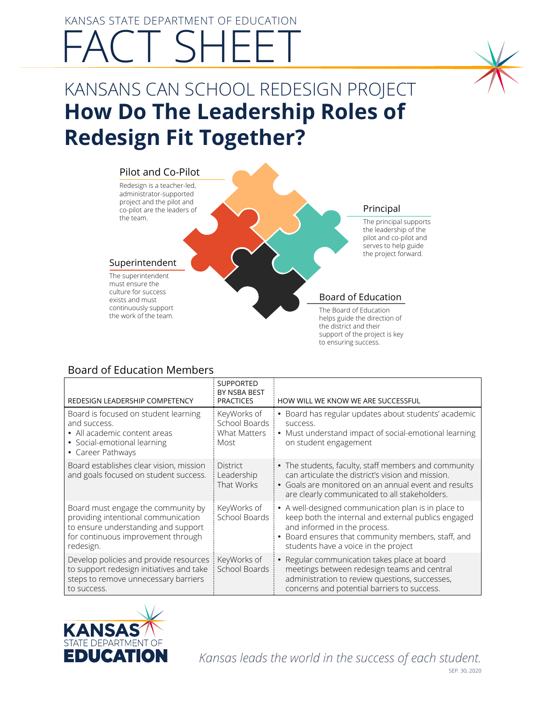# KANSAS STATE DEPARTMENT OF EDUCATION FACT SHEET

# KANSANS CAN SCHOOL REDESIGN PROJECT **How Do The Leadership Roles of Redesign Fit Together?**



### Board of Education Members

| REDESIGN LEADERSHIP COMPETENCY                                                                                                                                      | <b>SUPPORTED</b><br>BY NSBA BEST<br><b>PRACTICES</b>        | HOW WILL WE KNOW WE ARE SUCCESSFUL                                                                                                                                                                                                     |
|---------------------------------------------------------------------------------------------------------------------------------------------------------------------|-------------------------------------------------------------|----------------------------------------------------------------------------------------------------------------------------------------------------------------------------------------------------------------------------------------|
| Board is focused on student learning<br>and success.<br>• All academic content areas<br>• Social-emotional learning<br>• Career Pathways                            | KeyWorks of<br>School Boards<br><b>What Matters</b><br>Most | Board has regular updates about students' academic<br>SUCCeSS.<br>• Must understand impact of social-emotional learning<br>on student engagement                                                                                       |
| Board establishes clear vision, mission<br>and goals focused on student success.                                                                                    | <b>District</b><br>Leadership<br>That Works                 | • The students, faculty, staff members and community<br>can articulate the district's vision and mission.<br>Goals are monitored on an annual event and results<br>$\bullet$<br>are clearly communicated to all stakeholders.          |
| Board must engage the community by<br>providing intentional communication<br>to ensure understanding and support<br>for continuous improvement through<br>redesign. | KeyWorks of<br>School Boards                                | • A well-designed communication plan is in place to<br>keep both the internal and external publics engaged<br>and informed in the process.<br>Board ensures that community members, staff, and<br>students have a voice in the project |
| Develop policies and provide resources<br>to support redesign initiatives and take<br>steps to remove unnecessary barriers<br>to success.                           | KeyWorks of<br>School Boards                                | Regular communication takes place at board<br>meetings between redesign teams and central<br>administration to review questions, successes,<br>concerns and potential barriers to success.                                             |

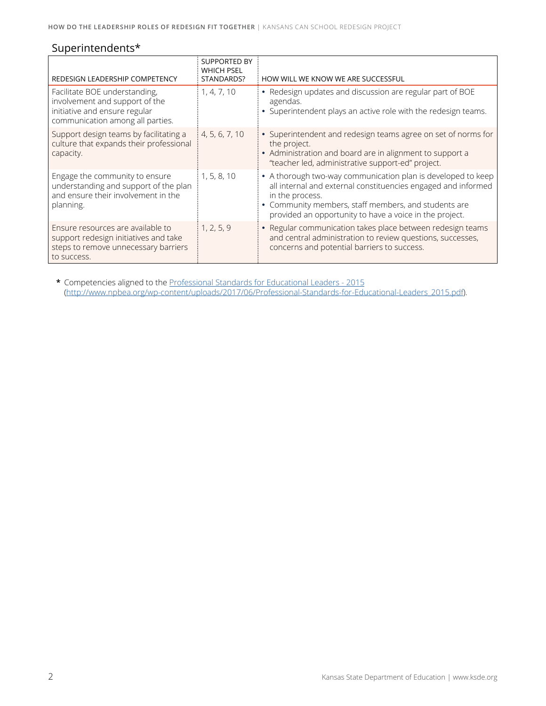## Superintendents\*

| REDESIGN LEADERSHIP COMPETENCY                                                                                                       | <b>SUPPORTED BY</b><br><b>WHICH PSEL</b><br>STANDARDS? | HOW WILL WE KNOW WE ARE SUCCESSFUL                                                                                                                                                                                                                                  |
|--------------------------------------------------------------------------------------------------------------------------------------|--------------------------------------------------------|---------------------------------------------------------------------------------------------------------------------------------------------------------------------------------------------------------------------------------------------------------------------|
| Facilitate BOE understanding,<br>involvement and support of the<br>initiative and ensure regular<br>communication among all parties. | 1, 4, 7, 10                                            | • Redesign updates and discussion are regular part of BOE<br>agendas.<br>• Superintendent plays an active role with the redesign teams.                                                                                                                             |
| Support design teams by facilitating a<br>culture that expands their professional<br>capacity.                                       | 4, 5, 6, 7, 10                                         | • Superintendent and redesign teams agree on set of norms for<br>the project.<br>• Administration and board are in alignment to support a<br>"teacher led, administrative support-ed" project.                                                                      |
| Engage the community to ensure<br>understanding and support of the plan<br>and ensure their involvement in the<br>planning.          | 1, 5, 8, 10                                            | • A thorough two-way communication plan is developed to keep<br>all internal and external constituencies engaged and informed<br>in the process.<br>• Community members, staff members, and students are<br>provided an opportunity to have a voice in the project. |
| Ensure resources are available to<br>support redesign initiatives and take<br>steps to remove unnecessary barriers<br>to success.    | 1, 2, 5, 9                                             | • Regular communication takes place between redesign teams<br>and central administration to review questions, successes,<br>concerns and potential barriers to success.                                                                                             |

**\*** Competencies aligned to the [Professional Standards for Educational Leaders - 2015](http://www.npbea.org/wp-content/uploads/2017/06/Professional-Standards-for-Educational-Leaders_2015.pdf) [\(http://www.npbea.org/wp-content/uploads/2017/06/Professional-Standards-for-Educational-Leaders\\_2015.pdf\)](http://www.npbea.org/wp-content/uploads/2017/06/Professional-Standards-for-Educational-Leaders_2015.).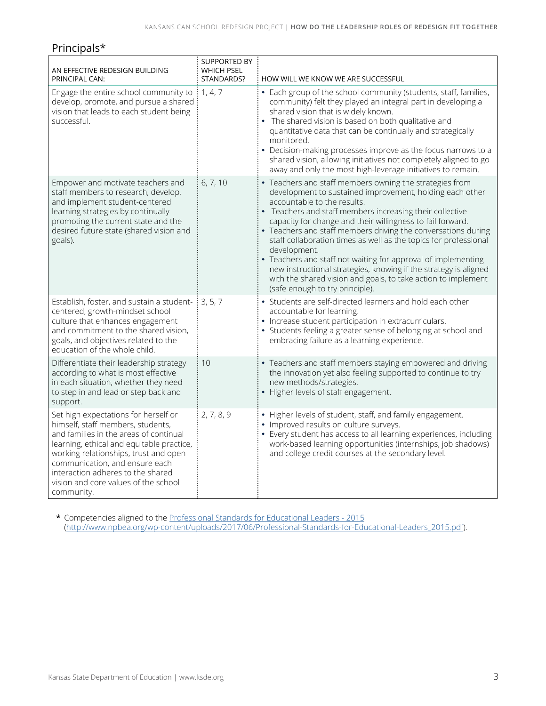#### Principals\*

| AN EFFECTIVE REDESIGN BUILDING<br>PRINCIPAL CAN:                                                                                                                                                                                                                                                                                       | <b>SUPPORTED BY</b><br><b>WHICH PSEL</b><br>STANDARDS? | HOW WILL WE KNOW WE ARE SUCCESSFUL                                                                                                                                                                                                                                                                                                                                                                                                                                                                                                                                                                                                                                         |
|----------------------------------------------------------------------------------------------------------------------------------------------------------------------------------------------------------------------------------------------------------------------------------------------------------------------------------------|--------------------------------------------------------|----------------------------------------------------------------------------------------------------------------------------------------------------------------------------------------------------------------------------------------------------------------------------------------------------------------------------------------------------------------------------------------------------------------------------------------------------------------------------------------------------------------------------------------------------------------------------------------------------------------------------------------------------------------------------|
| Engage the entire school community to<br>develop, promote, and pursue a shared<br>vision that leads to each student being<br>successful.                                                                                                                                                                                               | 1, 4, 7                                                | • Each group of the school community (students, staff, families,<br>community) felt they played an integral part in developing a<br>shared vision that is widely known.<br>• The shared vision is based on both qualitative and<br>quantitative data that can be continually and strategically<br>monitored.<br>• Decision-making processes improve as the focus narrows to a<br>shared vision, allowing initiatives not completely aligned to go<br>away and only the most high-leverage initiatives to remain.                                                                                                                                                           |
| Empower and motivate teachers and<br>staff members to research, develop,<br>and implement student-centered<br>learning strategies by continually<br>promoting the current state and the<br>desired future state (shared vision and<br>goals).                                                                                          | 6, 7, 10                                               | • Teachers and staff members owning the strategies from<br>development to sustained improvement, holding each other<br>accountable to the results.<br>• Teachers and staff members increasing their collective<br>capacity for change and their willingness to fail forward.<br>• Teachers and staff members driving the conversations during<br>staff collaboration times as well as the topics for professional<br>development.<br>• Teachers and staff not waiting for approval of implementing<br>new instructional strategies, knowing if the strategy is aligned<br>with the shared vision and goals, to take action to implement<br>(safe enough to try principle). |
| Establish, foster, and sustain a student- $\frac{1}{3}$ , 5, 7<br>centered, growth-mindset school<br>culture that enhances engagement<br>and commitment to the shared vision,<br>goals, and objectives related to the<br>education of the whole child.                                                                                 |                                                        | • Students are self-directed learners and hold each other<br>accountable for learning.<br>• Increase student participation in extracurriculars.<br>• Students feeling a greater sense of belonging at school and<br>embracing failure as a learning experience.                                                                                                                                                                                                                                                                                                                                                                                                            |
| Differentiate their leadership strategy<br>according to what is most effective<br>in each situation, whether they need<br>to step in and lead or step back and<br>support.                                                                                                                                                             | 10                                                     | • Teachers and staff members staying empowered and driving<br>the innovation yet also feeling supported to continue to try<br>new methods/strategies.<br>• Higher levels of staff engagement.                                                                                                                                                                                                                                                                                                                                                                                                                                                                              |
| Set high expectations for herself or<br>himself, staff members, students,<br>and families in the areas of continual<br>learning, ethical and equitable practice,<br>working relationships, trust and open<br>communication, and ensure each<br>interaction adheres to the shared<br>vision and core values of the school<br>community. | 2, 7, 8, 9                                             | • Higher levels of student, staff, and family engagement.<br>• Improved results on culture surveys.<br>• Every student has access to all learning experiences, including<br>work-based learning opportunities (internships, job shadows)<br>and college credit courses at the secondary level.                                                                                                                                                                                                                                                                                                                                                                             |

**\*** Competencies aligned to the [Professional Standards for Educational Leaders - 2015](http://www.npbea.org/wp-content/uploads/2017/06/Professional-Standards-for-Educational-Leaders_2015.pdf) [\(http://www.npbea.org/wp-content/uploads/2017/06/Professional-Standards-for-Educational-Leaders\\_2015.pdf\)](http://www.npbea.org/wp-content/uploads/2017/06/Professional-Standards-for-Educational-Leaders_2015.).